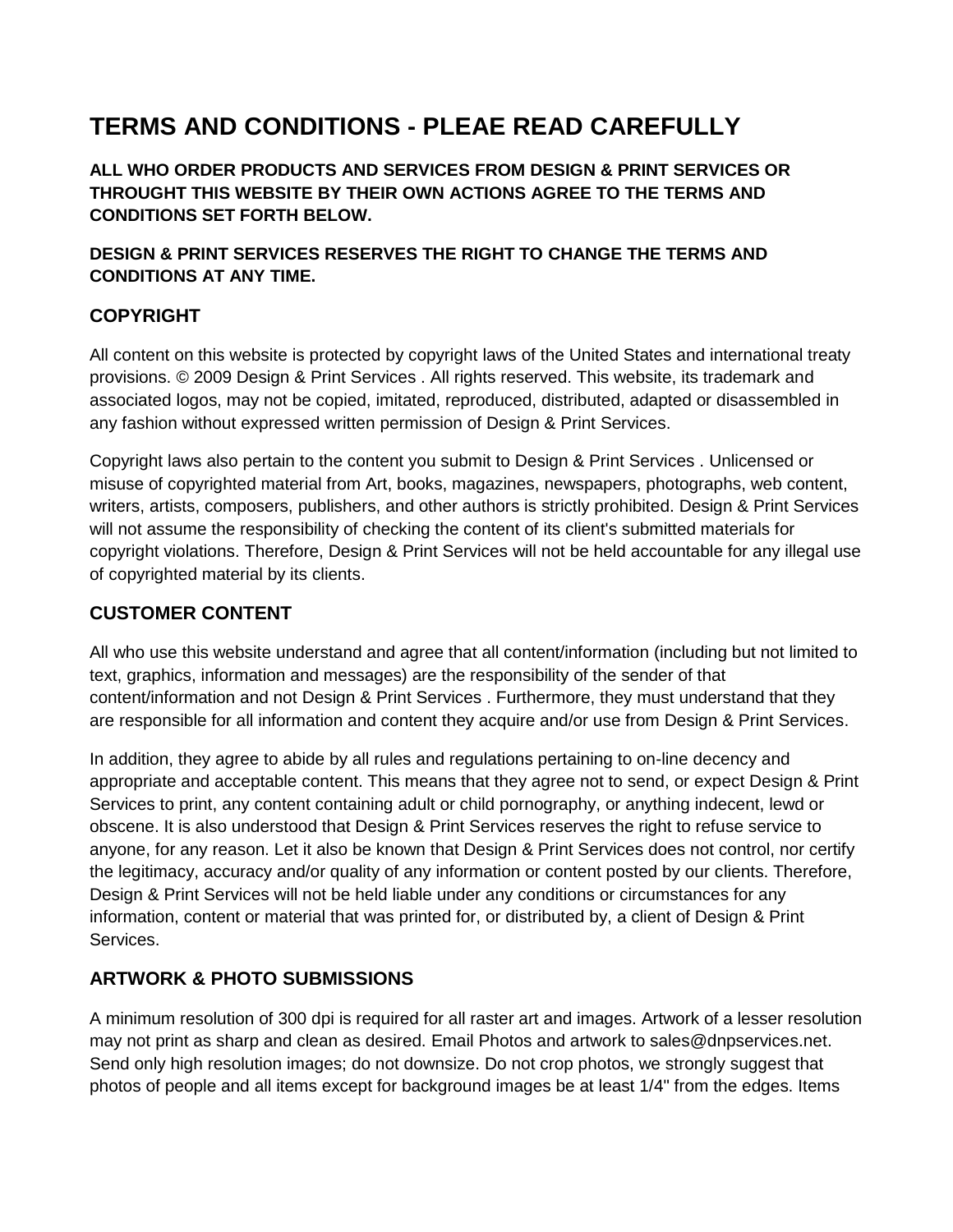# **TERMS AND CONDITIONS - PLEAE READ CAREFULLY**

**ALL WHO ORDER PRODUCTS AND SERVICES FROM DESIGN & PRINT SERVICES OR THROUGHT THIS WEBSITE BY THEIR OWN ACTIONS AGREE TO THE TERMS AND CONDITIONS SET FORTH BELOW.**

**DESIGN & PRINT SERVICES RESERVES THE RIGHT TO CHANGE THE TERMS AND CONDITIONS AT ANY TIME.**

# **COPYRIGHT**

All content on this website is protected by copyright laws of the United States and international treaty provisions. © 2009 Design & Print Services . All rights reserved. This website, its trademark and associated logos, may not be copied, imitated, reproduced, distributed, adapted or disassembled in any fashion without expressed written permission of Design & Print Services.

Copyright laws also pertain to the content you submit to Design & Print Services . Unlicensed or misuse of copyrighted material from Art, books, magazines, newspapers, photographs, web content, writers, artists, composers, publishers, and other authors is strictly prohibited. Design & Print Services will not assume the responsibility of checking the content of its client's submitted materials for copyright violations. Therefore, Design & Print Services will not be held accountable for any illegal use of copyrighted material by its clients.

### **CUSTOMER CONTENT**

All who use this website understand and agree that all content/information (including but not limited to text, graphics, information and messages) are the responsibility of the sender of that content/information and not Design & Print Services . Furthermore, they must understand that they are responsible for all information and content they acquire and/or use from Design & Print Services.

In addition, they agree to abide by all rules and regulations pertaining to on-line decency and appropriate and acceptable content. This means that they agree not to send, or expect Design & Print Services to print, any content containing adult or child pornography, or anything indecent, lewd or obscene. It is also understood that Design & Print Services reserves the right to refuse service to anyone, for any reason. Let it also be known that Design & Print Services does not control, nor certify the legitimacy, accuracy and/or quality of any information or content posted by our clients. Therefore, Design & Print Services will not be held liable under any conditions or circumstances for any information, content or material that was printed for, or distributed by, a client of Design & Print Services.

## **ARTWORK & PHOTO SUBMISSIONS**

A minimum resolution of 300 dpi is required for all raster art and images. Artwork of a lesser resolution may not print as sharp and clean as desired. Email Photos and artwork to sales@dnpservices.net. Send only high resolution images; do not downsize. Do not crop photos, we strongly suggest that photos of people and all items except for background images be at least 1/4" from the edges. Items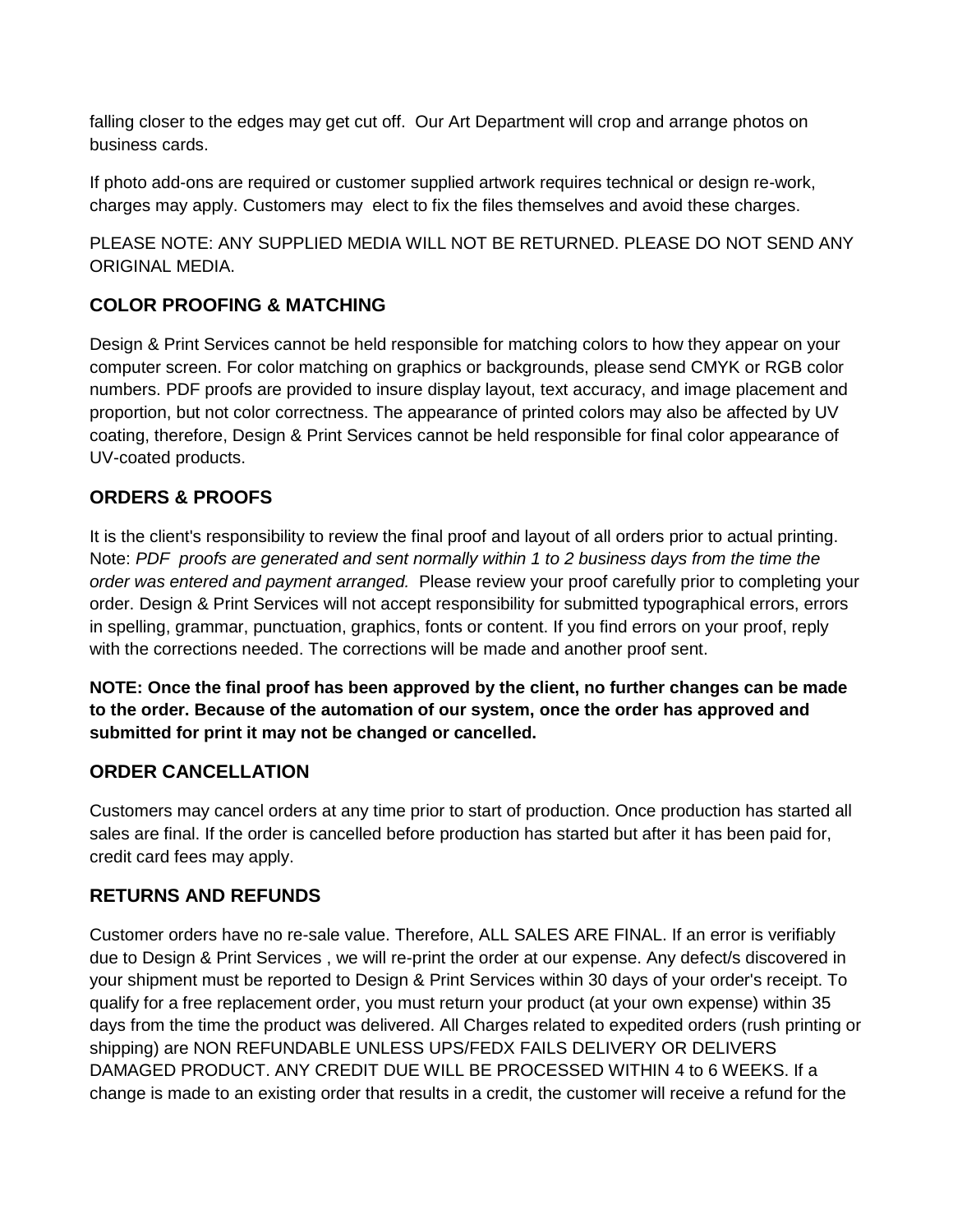falling closer to the edges may get cut off. Our Art Department will crop and arrange photos on business cards.

If photo add-ons are required or customer supplied artwork requires technical or design re-work, charges may apply. Customers may elect to fix the files themselves and avoid these charges.

PLEASE NOTE: ANY SUPPLIED MEDIA WILL NOT BE RETURNED. PLEASE DO NOT SEND ANY ORIGINAL MEDIA.

## **COLOR PROOFING & MATCHING**

Design & Print Services cannot be held responsible for matching colors to how they appear on your computer screen. For color matching on graphics or backgrounds, please send CMYK or RGB color numbers. PDF proofs are provided to insure display layout, text accuracy, and image placement and proportion, but not color correctness. The appearance of printed colors may also be affected by UV coating, therefore, Design & Print Services cannot be held responsible for final color appearance of UV-coated products.

## **ORDERS & PROOFS**

It is the client's responsibility to review the final proof and layout of all orders prior to actual printing. Note: *PDF proofs are generated and sent normally within 1 to 2 business days from the time the order was entered and payment arranged.* Please review your proof carefully prior to completing your order. Design & Print Services will not accept responsibility for submitted typographical errors, errors in spelling, grammar, punctuation, graphics, fonts or content. If you find errors on your proof, reply with the corrections needed. The corrections will be made and another proof sent.

**NOTE: Once the final proof has been approved by the client, no further changes can be made to the order. Because of the automation of our system, once the order has approved and submitted for print it may not be changed or cancelled.** 

#### **ORDER CANCELLATION**

Customers may cancel orders at any time prior to start of production. Once production has started all sales are final. If the order is cancelled before production has started but after it has been paid for, credit card fees may apply.

#### **RETURNS AND REFUNDS**

Customer orders have no re-sale value. Therefore, ALL SALES ARE FINAL. If an error is verifiably due to Design & Print Services , we will re-print the order at our expense. Any defect/s discovered in your shipment must be reported to Design & Print Services within 30 days of your order's receipt. To qualify for a free replacement order, you must return your product (at your own expense) within 35 days from the time the product was delivered. All Charges related to expedited orders (rush printing or shipping) are NON REFUNDABLE UNLESS UPS/FEDX FAILS DELIVERY OR DELIVERS DAMAGED PRODUCT. ANY CREDIT DUE WILL BE PROCESSED WITHIN 4 to 6 WEEKS. If a change is made to an existing order that results in a credit, the customer will receive a refund for the